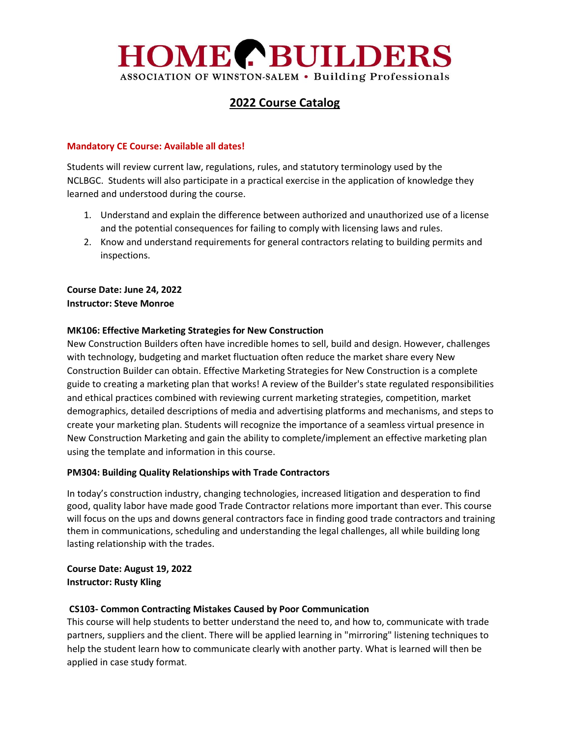# **HOME PEUILDERS** ASSOCIATION OF WINSTON-SALEM . Building Professionals

# **2022 Course Catalog**

### **Mandatory CE Course: Available all dates!**

Students will review current law, regulations, rules, and statutory terminology used by the NCLBGC. Students will also participate in a practical exercise in the application of knowledge they learned and understood during the course.

- 1. Understand and explain the difference between authorized and unauthorized use of a license and the potential consequences for failing to comply with licensing laws and rules.
- 2. Know and understand requirements for general contractors relating to building permits and inspections.

**Course Date: June 24, 2022 Instructor: Steve Monroe**

#### **MK106: Effective Marketing Strategies for New Construction**

New Construction Builders often have incredible homes to sell, build and design. However, challenges with technology, budgeting and market fluctuation often reduce the market share every New Construction Builder can obtain. Effective Marketing Strategies for New Construction is a complete guide to creating a marketing plan that works! A review of the Builder's state regulated responsibilities and ethical practices combined with reviewing current marketing strategies, competition, market demographics, detailed descriptions of media and advertising platforms and mechanisms, and steps to create your marketing plan. Students will recognize the importance of a seamless virtual presence in New Construction Marketing and gain the ability to complete/implement an effective marketing plan using the template and information in this course.

#### **PM304: Building Quality Relationships with Trade Contractors**

In today's construction industry, changing technologies, increased litigation and desperation to find good, quality labor have made good Trade Contractor relations more important than ever. This course will focus on the ups and downs general contractors face in finding good trade contractors and training them in communications, scheduling and understanding the legal challenges, all while building long lasting relationship with the trades.

**Course Date: August 19, 2022 Instructor: Rusty Kling**

# **CS103- Common Contracting Mistakes Caused by Poor Communication**

This course will help students to better understand the need to, and how to, communicate with trade partners, suppliers and the client. There will be applied learning in "mirroring" listening techniques to help the student learn how to communicate clearly with another party. What is learned will then be applied in case study format.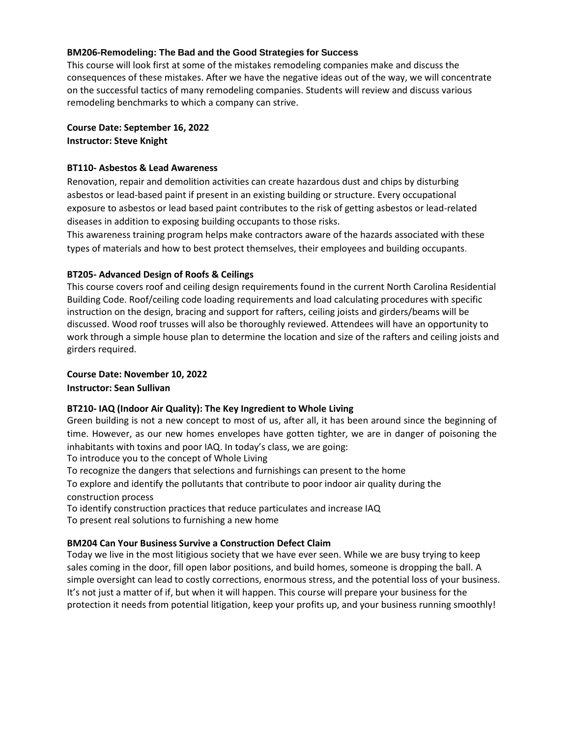#### **BM206-Remodeling: The Bad and the Good Strategies for Success**

This course will look first at some of the mistakes remodeling companies make and discuss the consequences of these mistakes. After we have the negative ideas out of the way, we will concentrate on the successful tactics of many remodeling companies. Students will review and discuss various remodeling benchmarks to which a company can strive.

# **Course Date: September 16, 2022**

**Instructor: Steve Knight**

### **BT110- Asbestos & Lead Awareness**

Renovation, repair and demolition activities can create hazardous dust and chips by disturbing asbestos or lead-based paint if present in an existing building or structure. Every occupational exposure to asbestos or lead based paint contributes to the risk of getting asbestos or lead-related diseases in addition to exposing building occupants to those risks.

This awareness training program helps make contractors aware of the hazards associated with these types of materials and how to best protect themselves, their employees and building occupants.

# **BT205- Advanced Design of Roofs & Ceilings**

This course covers roof and ceiling design requirements found in the current North Carolina Residential Building Code. Roof/ceiling code loading requirements and load calculating procedures with specific instruction on the design, bracing and support for rafters, ceiling joists and girders/beams will be discussed. Wood roof trusses will also be thoroughly reviewed. Attendees will have an opportunity to work through a simple house plan to determine the location and size of the rafters and ceiling joists and girders required.

#### **Course Date: November 10, 2022**

**Instructor: Sean Sullivan**

# **BT210- IAQ (Indoor Air Quality): The Key Ingredient to Whole Living**

Green building is not a new concept to most of us, after all, it has been around since the beginning of time. However, as our new homes envelopes have gotten tighter, we are in danger of poisoning the inhabitants with toxins and poor IAQ. In today's class, we are going:

To introduce you to the concept of Whole Living

To recognize the dangers that selections and furnishings can present to the home

To explore and identify the pollutants that contribute to poor indoor air quality during the construction process

To identify construction practices that reduce particulates and increase IAQ

To present real solutions to furnishing a new home

# **BM204 Can Your Business Survive a Construction Defect Claim**

Today we live in the most litigious society that we have ever seen. While we are busy trying to keep sales coming in the door, fill open labor positions, and build homes, someone is dropping the ball. A simple oversight can lead to costly corrections, enormous stress, and the potential loss of your business. It's not just a matter of if, but when it will happen. This course will prepare your business for the protection it needs from potential litigation, keep your profits up, and your business running smoothly!